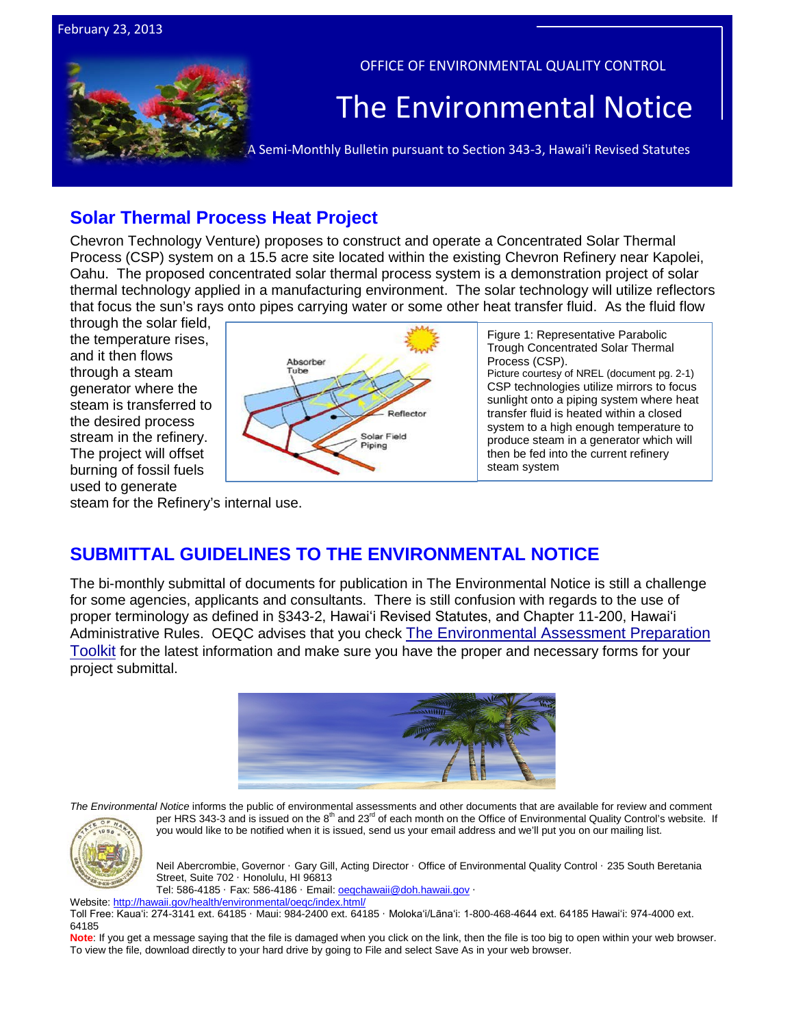

# **Solar Thermal Process Heat Project**

Chevron Technology Venture) proposes to construct and operate a Concentrated Solar Thermal Process (CSP) system on a 15.5 acre site located within the existing Chevron Refinery near Kapolei, Oahu. The proposed concentrated solar thermal process system is a demonstration project of solar thermal technology applied in a manufacturing environment. The solar technology will utilize reflectors that focus the sun's rays onto pipes carrying water or some other heat transfer fluid. As the fluid flow

through the solar field, the temperature rises, and it then flows through a steam generator where the steam is transferred to the desired process stream in the refinery. The project will offset burning of fossil fuels used to generate

February 23, 2013



Figure 1: Representative Parabolic Trough Concentrated Solar Thermal Process (CSP). Picture courtesy of NREL (document pg. 2-1) CSP technologies utilize mirrors to focus sunlight onto a piping system where heat transfer fluid is heated within a closed system to a high enough temperature to produce steam in a generator which will then be fed into the current refinery steam system

steam for the Refinery's internal use.

# **SUBMITTAL GUIDELINES TO THE ENVIRONMENTAL NOTICE**

The bi-monthly submittal of documents for publication in The Environmental Notice is still a challenge for some agencies, applicants and consultants. There is still confusion with regards to the use of proper terminology as defined in §343-2, Hawaiʻi Revised Statutes, and Chapter 11-200, Hawaiʻi Administrative Rules. OEQC advises that you check [The Environmental Assessment Preparation](http://oeqc.doh.hawaii.gov/Shared%20Documents/Forms/AllItems.aspx?RootFolder=%2fShared%20Documents%2fPreparation%5fof%5fHawaii%5fEnvironmental%5fPolicy%5fAct%5fDocuments&View=%7bC0C5C897%2d3066%2d4821%2d864E%2d36FB3D77F5D5%7d)  [Toolkit](http://oeqc.doh.hawaii.gov/Shared%20Documents/Forms/AllItems.aspx?RootFolder=%2fShared%20Documents%2fPreparation%5fof%5fHawaii%5fEnvironmental%5fPolicy%5fAct%5fDocuments&View=%7bC0C5C897%2d3066%2d4821%2d864E%2d36FB3D77F5D5%7d) for the latest information and make sure you have the proper and necessary forms for your project submittal.



*The Environmental Notice* informs the public of environmental assessments and other documents that are available for review and comment per HRS 343-3 and is issued on the 8<sup>th</sup> and 23<sup>rd</sup> of each month on the Office of Environmental Quality Control's website. If



you would like to be notified when it is issued, send us your email address and we'll put you on our mailing list.

Neil Abercrombie, Governor · Gary Gill, Acting Director · Office of Environmental Quality Control · 235 South Beretania Street, Suite 702 · Honolulu, HI 96813

Tel: 586-4185 · Fax: 586-4186 · Email: **oegchawaii@doh.hawaii.gov** ·

Website[: http://hawaii.gov/health/environmental/oeqc/index.html/](http://hawaii.gov/health/environmental/oeqc/index.html/)

Toll Free: Kauaʻi: 274-3141 ext. 64185 · Maui: 984-2400 ext. 64185 · Molokaʻi/Lānaʻi: 1-800-468-4644 ext. 64185 Hawaiʻi: 974-4000 ext. 64185

Note: If you get a message saying that the file is damaged when you click on the link, then the file is too big to open within your web browser. To view the file, download directly to your hard drive by going to File and select Save As in your web browser.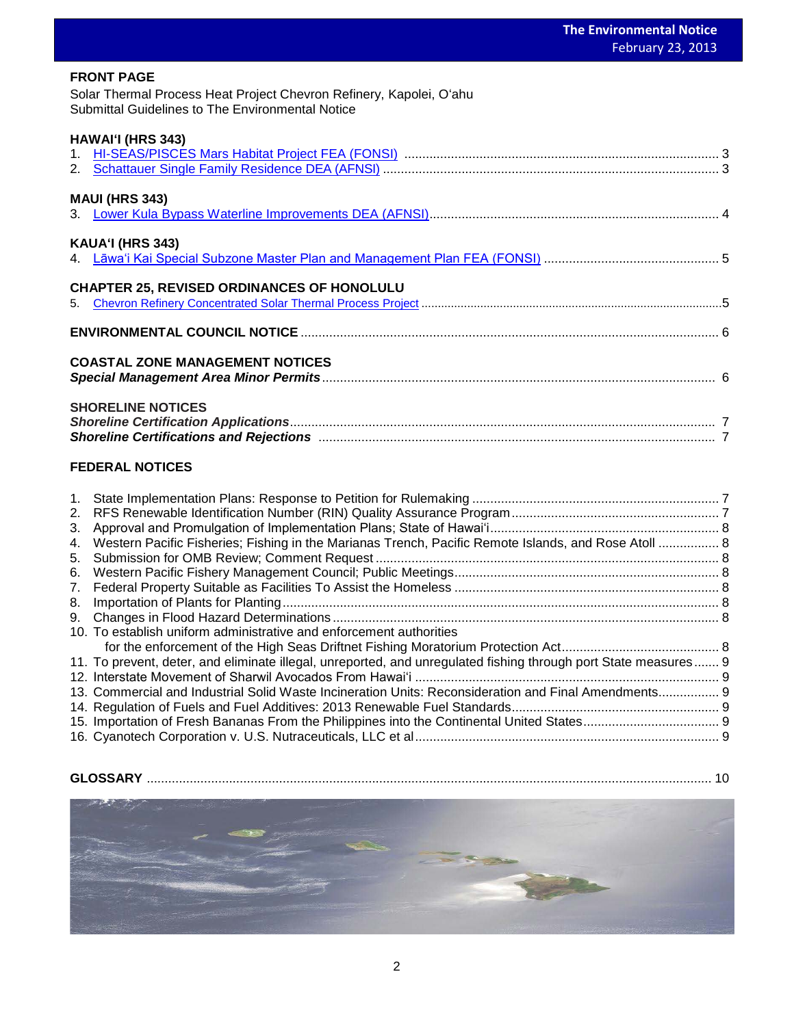### **FRONT PAGE**

<mark>FRONT PAGE</mark><br>Solar Thermal Process Heat Project Chevron Refinery, Kapolei, Oʻahu Submittal Guidelines to The Environmental Notice

## **HAWAIʻI (HRS 343)**

| <b>MAUI (HRS 343)</b>                             |  |
|---------------------------------------------------|--|
| <b>KAUA'I (HRS 343)</b>                           |  |
|                                                   |  |
| <b>CHAPTER 25, REVISED ORDINANCES OF HONOLULU</b> |  |
|                                                   |  |
| <b>COASTAL ZONE MANAGEMENT NOTICES</b>            |  |
| <b>SHORELINE NOTICES</b>                          |  |

# **FEDERAL NOTICES**

| 1. |                                                                                                                 |  |
|----|-----------------------------------------------------------------------------------------------------------------|--|
|    |                                                                                                                 |  |
| 3. |                                                                                                                 |  |
| 4. | Western Pacific Fisheries; Fishing in the Marianas Trench, Pacific Remote Islands, and Rose Atoll  8            |  |
| 5. |                                                                                                                 |  |
|    |                                                                                                                 |  |
| 7. |                                                                                                                 |  |
| 8. |                                                                                                                 |  |
| 9. |                                                                                                                 |  |
|    | 10. To establish uniform administrative and enforcement authorities                                             |  |
|    |                                                                                                                 |  |
|    | 11. To prevent, deter, and eliminate illegal, unreported, and unregulated fishing through port State measures 9 |  |
|    |                                                                                                                 |  |
|    | 13. Commercial and Industrial Solid Waste Incineration Units: Reconsideration and Final Amendments 9            |  |
|    |                                                                                                                 |  |
|    |                                                                                                                 |  |
|    |                                                                                                                 |  |

# **GLOSSARY** .............................................................................................................................................................. 10

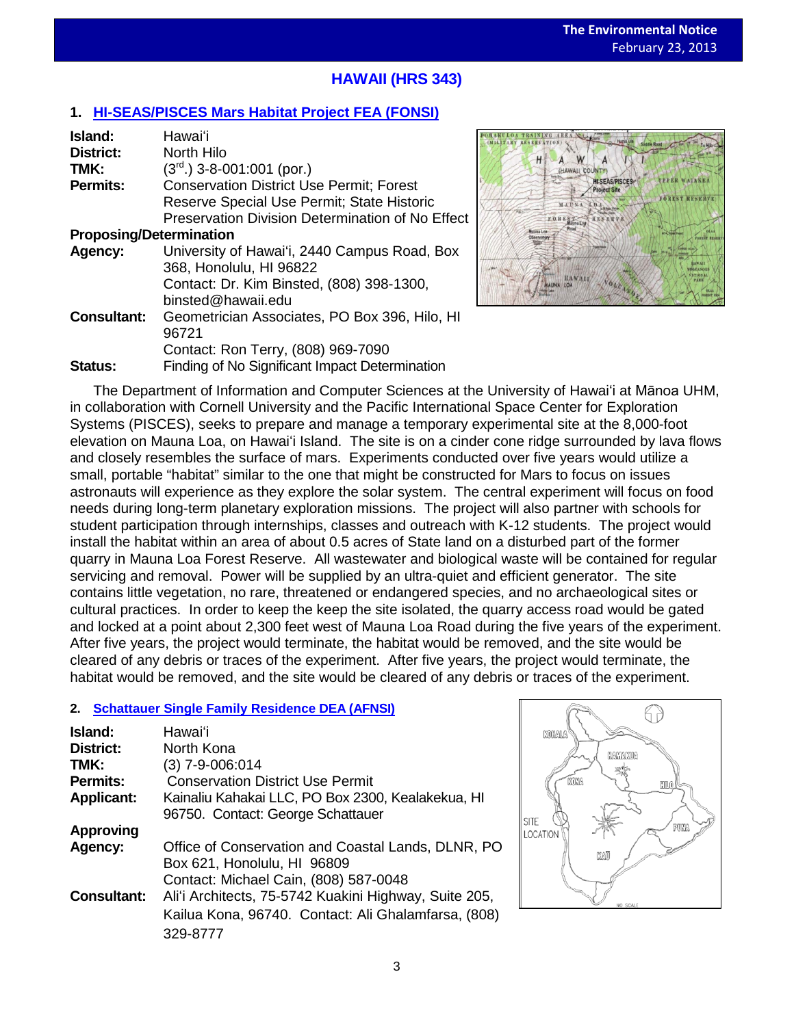# **HAWAII (HRS 343)**

# **1. [HI-SEAS/PISCES Mars Habitat Project](http://oeqc.doh.hawaii.gov/Shared%20Documents/EA_and_EIS_Online_Library/Hawaii/2010s/2013-02-23-HI-FEA-5b-University-of-Hawaii-HI-Seas-Pisces-Mars-Habitat-Project.pdf) FEA (FONSI)**

| Island:                        | Hawaiʻi                                          |  |  |
|--------------------------------|--------------------------------------------------|--|--|
| <b>District:</b>               | North Hilo                                       |  |  |
| TMK:                           | $(3rd)$ 3-8-001:001 (por.)                       |  |  |
| <b>Permits:</b>                | <b>Conservation District Use Permit: Forest</b>  |  |  |
|                                | Reserve Special Use Permit; State Historic       |  |  |
|                                | Preservation Division Determination of No Effect |  |  |
| <b>Proposing/Determination</b> |                                                  |  |  |
| Agency:                        | University of Hawai'i, 2440 Campus Road, Box     |  |  |
|                                | 368, Honolulu, HI 96822                          |  |  |
|                                | Contact: Dr. Kim Binsted, (808) 398-1300,        |  |  |
|                                | binsted@hawaii.edu                               |  |  |
| <b>Consultant:</b>             | Geometrician Associates, PO Box 396, Hilo, HI    |  |  |
|                                | 96721                                            |  |  |
|                                | Contact: Ron Terry, (808) 969-7090               |  |  |
| <b>Status:</b>                 | Finding of No Significant Impact Determination   |  |  |



The Department of Information and Computer Sciences at the University of Hawaiʻi at Mānoa UHM, in collaboration with Cornell University and the Pacific International Space Center for Exploration Systems (PISCES), seeks to prepare and manage a temporary experimental site at the 8,000-foot elevation on Mauna Loa, on Hawaiʻi Island. The site is on a cinder cone ridge surrounded by lava flows and closely resembles the surface of mars. Experiments conducted over five years would utilize a small, portable "habitat" similar to the one that might be constructed for Mars to focus on issues astronauts will experience as they explore the solar system. The central experiment will focus on food needs during long-term planetary exploration missions. The project will also partner with schools for student participation through internships, classes and outreach with K-12 students. The project would install the habitat within an area of about 0.5 acres of State land on a disturbed part of the former quarry in Mauna Loa Forest Reserve. All wastewater and biological waste will be contained for regular servicing and removal. Power will be supplied by an ultra-quiet and efficient generator. The site contains little vegetation, no rare, threatened or endangered species, and no archaeological sites or cultural practices. In order to keep the keep the site isolated, the quarry access road would be gated and locked at a point about 2,300 feet west of Mauna Loa Road during the five years of the experiment. After five years, the project would terminate, the habitat would be removed, and the site would be cleared of any debris or traces of the experiment. After five years, the project would terminate, the habitat would be removed, and the site would be cleared of any debris or traces of the experiment.

## **2. [Schattauer Single Family Residence](http://oeqc.doh.hawaii.gov/Shared%20Documents/EA_and_EIS_Online_Library/Hawaii/2010s/2013-02-23-HI-DEA-5e-Schattauer-Single-Family-Residence-North-Kona.pdf) DEA (AFNSI)**

| Island:            | Hawaiʻi                                               |
|--------------------|-------------------------------------------------------|
| <b>District:</b>   | North Kona                                            |
| TMK:               | (3) 7-9-006:014                                       |
| Permits:           | <b>Conservation District Use Permit</b>               |
| <b>Applicant:</b>  | Kainaliu Kahakai LLC, PO Box 2300, Kealakekua, HI     |
|                    | 96750. Contact: George Schattauer                     |
| <b>Approving</b>   |                                                       |
| Agency:            | Office of Conservation and Coastal Lands, DLNR, PO    |
|                    | Box 621, Honolulu, HI 96809                           |
|                    | Contact: Michael Cain, (808) 587-0048                 |
| <b>Consultant:</b> | Ali'i Architects, 75-5742 Kuakini Highway, Suite 205, |
|                    | Kailua Kona, 96740. Contact: Ali Ghalamfarsa, (808)   |
|                    | 329-8777                                              |

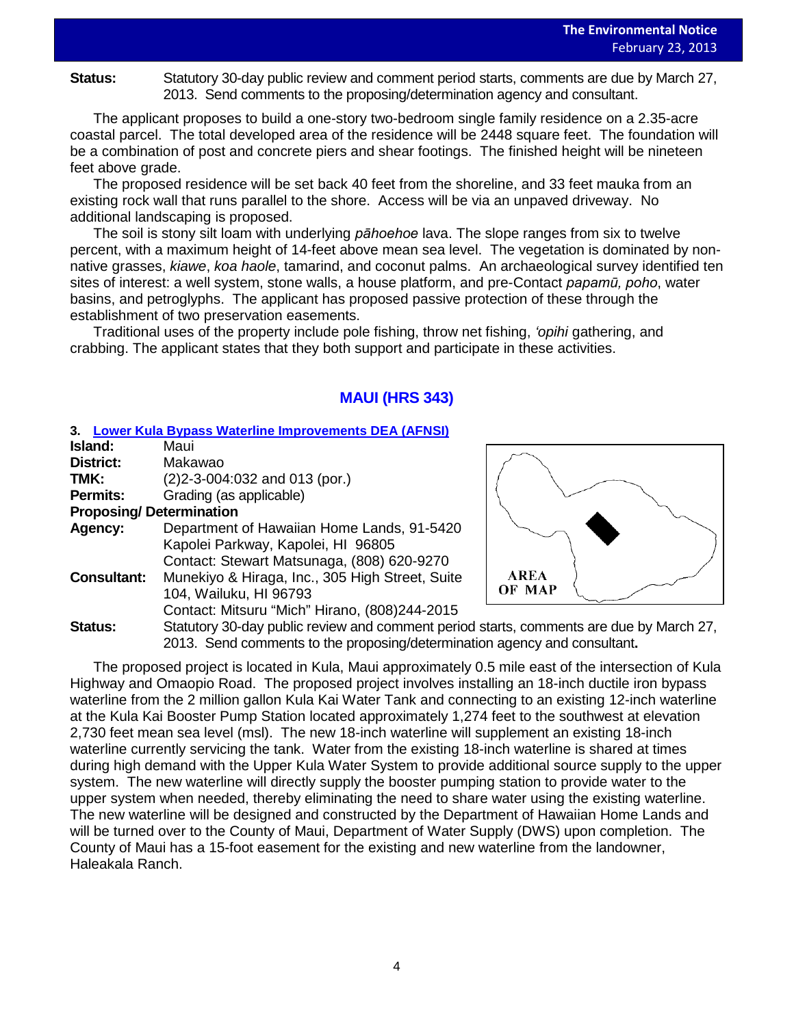Status: Statutory 30-day public review and comment period starts, comments are due by March 27, 2013. Send comments to the proposing/determination agency and consultant.

The applicant proposes to build a one-story two-bedroom single family residence on a 2.35-acre coastal parcel. The total developed area of the residence will be 2448 square feet. The foundation will be a combination of post and concrete piers and shear footings. The finished height will be nineteen feet above grade.

The proposed residence will be set back 40 feet from the shoreline, and 33 feet mauka from an existing rock wall that runs parallel to the shore. Access will be via an unpaved driveway. No additional landscaping is proposed.

The soil is stony silt loam with underlying *pāhoehoe* lava. The slope ranges from six to twelve percent, with a maximum height of 14-feet above mean sea level. The vegetation is dominated by nonnative grasses, *kiawe*, *koa haole*, tamarind, and coconut palms. An archaeological survey identified ten sites of interest: a well system, stone walls, a house platform, and pre-Contact *papamū, poho*, water basins, and petroglyphs. The applicant has proposed passive protection of these through the establishment of two preservation easements.

Traditional uses of the property include pole fishing, throw net fishing, *ʻopihi* gathering, and crabbing. The applicant states that they both support and participate in these activities.

# **MAUI (HRS 343)**

### **3. [Lower Kula Bypass Waterline Improvements](http://oeqc.doh.hawaii.gov/Shared%20Documents/EA_and_EIS_Online_Library/Maui/2010s/2013-02-23-MA-DEA-5b-Lower-Kula-Bypass-Waterline-Improvements.pdf) DEA (AFNSI)**

| Island:            | Maui                                              |
|--------------------|---------------------------------------------------|
| <b>District:</b>   | Makawao                                           |
| TMK:               | $(2)$ 2-3-004:032 and 013 (por.)                  |
| <b>Permits:</b>    | Grading (as applicable)                           |
|                    | <b>Proposing/Determination</b>                    |
| Agency:            | Department of Hawaiian Home Lands, 91-5420        |
|                    | Kapolei Parkway, Kapolei, HI 96805                |
|                    | Contact: Stewart Matsunaga, (808) 620-9270        |
| <b>Consultant:</b> | Munekiyo & Hiraga, Inc., 305 High Street, Suite   |
|                    | 104, Wailuku, HI 96793                            |
|                    | Contact: Mitsuru "Mich" Hirano, (808)244-2015     |
| Statue             | Statutory 30-day public review and comment period |



Statutory 30-day public review and comment period starts, comments are due by March 27, 2013. Send comments to the proposing/determination agency and consultant**.** 

The proposed project is located in Kula, Maui approximately 0.5 mile east of the intersection of Kula Highway and Omaopio Road. The proposed project involves installing an 18-inch ductile iron bypass waterline from the 2 million gallon Kula Kai Water Tank and connecting to an existing 12-inch waterline at the Kula Kai Booster Pump Station located approximately 1,274 feet to the southwest at elevation 2,730 feet mean sea level (msl). The new 18-inch waterline will supplement an existing 18-inch waterline currently servicing the tank. Water from the existing 18-inch waterline is shared at times during high demand with the Upper Kula Water System to provide additional source supply to the upper system. The new waterline will directly supply the booster pumping station to provide water to the upper system when needed, thereby eliminating the need to share water using the existing waterline. The new waterline will be designed and constructed by the Department of Hawaiian Home Lands and will be turned over to the County of Maui, Department of Water Supply (DWS) upon completion. The County of Maui has a 15-foot easement for the existing and new waterline from the landowner, Haleakala Ranch.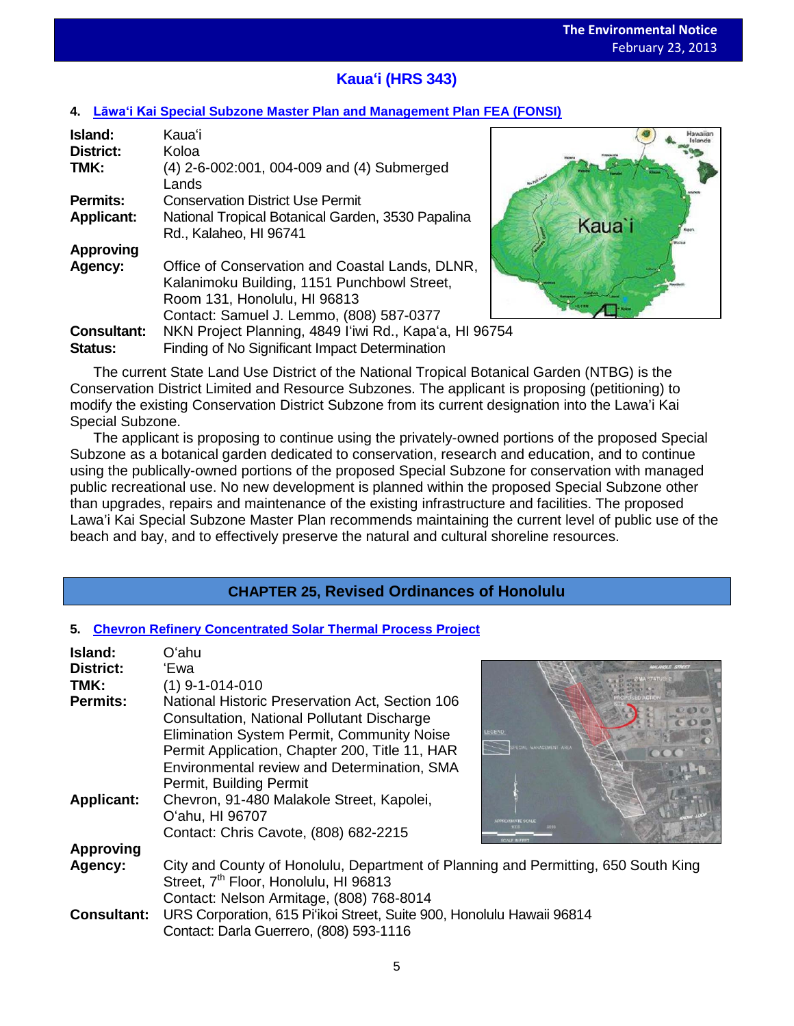# **Kauaʻi (HRS 343)**

## **4. Lāwa'i Kai [Special Subzone Master Plan and Management Plan FEA \(FONSI\)](http://oeqc.doh.hawaii.gov/Shared%20Documents/EA_and_EIS_Online_Library/Kauai/2010s/2013-02-23-KA-FEA-5e-Lawai-Kai-Special-Subzone-Master-and-Management-Plan-Kauai.pdf)**

| Island:            | Kauaʻi                                                                                                                         |  |
|--------------------|--------------------------------------------------------------------------------------------------------------------------------|--|
| <b>District:</b>   | Koloa                                                                                                                          |  |
| TMK:               | (4) 2-6-002:001, 004-009 and (4) Submerged<br>Lands                                                                            |  |
| <b>Permits:</b>    | <b>Conservation District Use Permit</b>                                                                                        |  |
| <b>Applicant:</b>  | National Tropical Botanical Garden, 3530 Papalina<br>Rd., Kalaheo, HI 96741                                                    |  |
| <b>Approving</b>   |                                                                                                                                |  |
| Agency:            | Office of Conservation and Coastal Lands, DLNR,<br>Kalanimoku Building, 1151 Punchbowl Street,<br>Room 131, Honolulu, HI 96813 |  |
|                    | Contact: Samuel J. Lemmo, (808) 587-0377                                                                                       |  |
| <b>Consultant:</b> | NKN Project Planning, 4849 I'iwi Rd., Kapa'a, HI 96754                                                                         |  |
| Status:            | Finding of No Significant Impact Determination                                                                                 |  |



The current State Land Use District of the National Tropical Botanical Garden (NTBG) is the Conservation District Limited and Resource Subzones. The applicant is proposing (petitioning) to modify the existing Conservation District Subzone from its current designation into the Lawa'i Kai Special Subzone.

The applicant is proposing to continue using the privately-owned portions of the proposed Special Subzone as a botanical garden dedicated to conservation, research and education, and to continue using the publically-owned portions of the proposed Special Subzone for conservation with managed public recreational use. No new development is planned within the proposed Special Subzone other than upgrades, repairs and maintenance of the existing infrastructure and facilities. The proposed Lawa'i Kai Special Subzone Master Plan recommends maintaining the current level of public use of the beach and bay, and to effectively preserve the natural and cultural shoreline resources.

# **CHAPTER 25, Revised Ordinances of Honolulu**

## **5. [Chevron Refinery Concentrated Solar Thermal Process Project](http://oeqc.doh.hawaii.gov/Shared%20Documents/EA_and_EIS_Online_Library/Non-343-EA-EIS-Documents-(SMA)/2013-02-23-OA-SMA-FEA-5e-Chevron-Refinery-Concentrated-Solar-Thermal-Process-Project.pdf)**

| Island:            | Oʻahu                                                                                                                                                                                                                                               |                                        |
|--------------------|-----------------------------------------------------------------------------------------------------------------------------------------------------------------------------------------------------------------------------------------------------|----------------------------------------|
| <b>District:</b>   | 'Ewa                                                                                                                                                                                                                                                |                                        |
| TMK:               | $(1)$ 9-1-014-010                                                                                                                                                                                                                                   |                                        |
| <b>Permits:</b>    | National Historic Preservation Act, Section 106<br>Consultation, National Pollutant Discharge<br><b>Elimination System Permit, Community Noise</b><br>Permit Application, Chapter 200, Title 11, HAR<br>Environmental review and Determination, SMA | <b>EGEND</b><br><b>VANACEMENT AREA</b> |
|                    | Permit, Building Permit                                                                                                                                                                                                                             |                                        |
| <b>Applicant:</b>  | Chevron, 91-480 Malakole Street, Kapolei,<br>O'ahu, HI 96707<br>Contact: Chris Cavote, (808) 682-2215                                                                                                                                               |                                        |
| <b>Approving</b>   |                                                                                                                                                                                                                                                     |                                        |
| Agency:            | City and County of Honolulu, Department of Planning and Permitting, 650 South King<br>Street, 7 <sup>th</sup> Floor, Honolulu, HI 96813                                                                                                             |                                        |
| <b>Consultant:</b> | Contact: Nelson Armitage, (808) 768-8014<br>URS Corporation, 615 Pi'ikoi Street, Suite 900, Honolulu Hawaii 96814<br>Contact: Darla Guerrero, (808) 593-1116                                                                                        |                                        |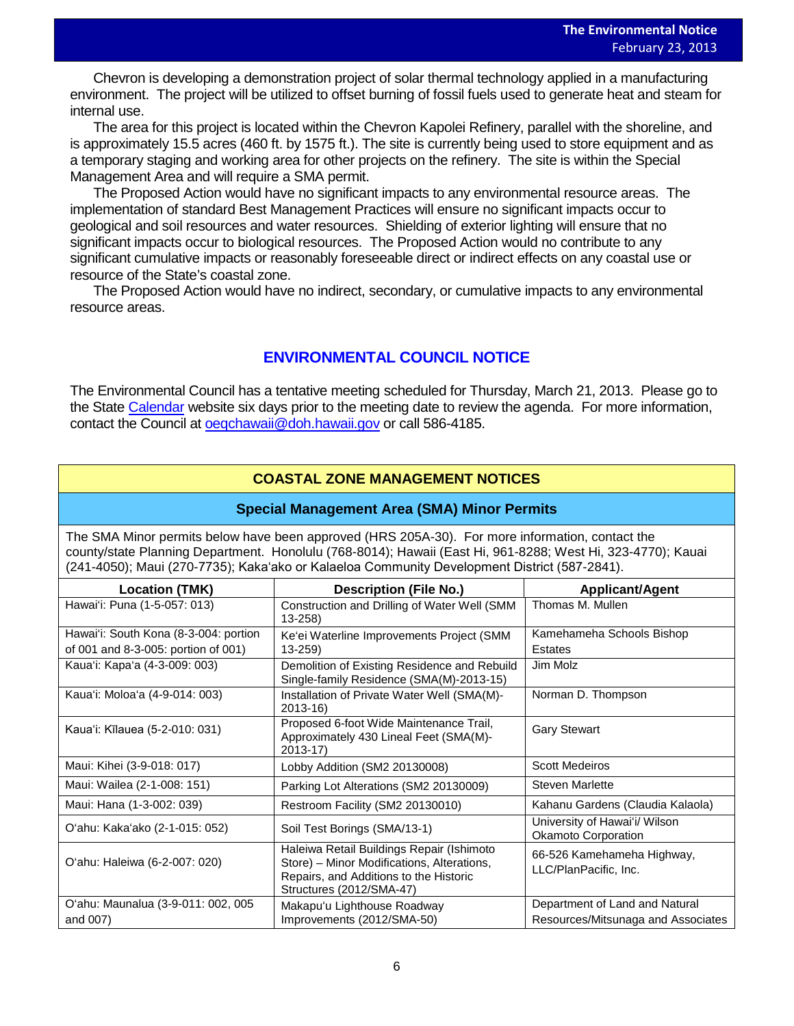Chevron is developing a demonstration project of solar thermal technology applied in a manufacturing<br>Example The project will be utilized to effect hymics of facel fields used to appear to be at an determined environment. The project will be utilized to offset burning of fossil fuels used to generate heat and steam for internal use.

The area for this project is located within the Chevron Kapolei Refinery, parallel with the shoreline, and is approximately 15.5 acres (460 ft. by 1575 ft.). The site is currently being used to store equipment and as a temporary staging and working area for other projects on the refinery. The site is within the Special Management Area and will require a SMA permit.

The Proposed Action would have no significant impacts to any environmental resource areas. The implementation of standard Best Management Practices will ensure no significant impacts occur to geological and soil resources and water resources. Shielding of exterior lighting will ensure that no significant impacts occur to biological resources. The Proposed Action would no contribute to any significant cumulative impacts or reasonably foreseeable direct or indirect effects on any coastal use or resource of the State's coastal zone.

The Proposed Action would have no indirect, secondary, or cumulative impacts to any environmental resource areas.

# **ENVIRONMENTAL COUNCIL NOTICE**

The Environmental Council has a tentative meeting scheduled for Thursday, March 21, 2013. Please go to the State [Calendar](http://calendar.ehawaii.gov/calendar/html/event) website six days prior to the meeting date to review the agenda. For more information, contact the Council at [oeqchawaii@doh.hawaii.gov](mailto:oeqchawaii@doh.hawaii.gov) or call 586-4185.

# **COASTAL ZONE MANAGEMENT NOTICES**

## **Special Management Area (SMA) Minor Permits**

The SMA Minor permits below have been approved (HRS 205A-30). For more information, contact the county/state Planning Department. Honolulu (768-8014); Hawaii (East Hi, 961-8288; West Hi, 323-4770); Kauai (241-4050); Maui (270-7735); Kakaʻako or Kalaeloa Community Development District (587-2841).

| <b>Location (TMK)</b>                          | <b>Description (File No.)</b>                                                                                                                                 | <b>Applicant/Agent</b>                                               |
|------------------------------------------------|---------------------------------------------------------------------------------------------------------------------------------------------------------------|----------------------------------------------------------------------|
| Hawai'i: Puna (1-5-057: 013)                   | Construction and Drilling of Water Well (SMM<br>$13 - 258$                                                                                                    | Thomas M. Mullen                                                     |
| Hawai'i: South Kona (8-3-004: portion          | Ke'ei Waterline Improvements Project (SMM                                                                                                                     | Kamehameha Schools Bishop                                            |
| of 001 and 8-3-005: portion of 001)            | $13 - 259$                                                                                                                                                    | Estates                                                              |
| Kaua'i: Kapa'a (4-3-009: 003)                  | Demolition of Existing Residence and Rebuild<br>Single-family Residence (SMA(M)-2013-15)                                                                      | Jim Molz                                                             |
| Kaua'i: Moloa'a (4-9-014: 003)                 | Installation of Private Water Well (SMA(M)-<br>$2013 - 16$                                                                                                    | Norman D. Thompson                                                   |
| Kaua'i: Kīlauea (5-2-010: 031)                 | Proposed 6-foot Wide Maintenance Trail,<br>Approximately 430 Lineal Feet (SMA(M)-<br>$2013 - 17$                                                              | <b>Gary Stewart</b>                                                  |
| Maui: Kihei (3-9-018: 017)                     | Lobby Addition (SM2 20130008)                                                                                                                                 | <b>Scott Medeiros</b>                                                |
| Maui: Wailea (2-1-008: 151)                    | Parking Lot Alterations (SM2 20130009)                                                                                                                        | <b>Steven Marlette</b>                                               |
| Maui: Hana (1-3-002: 039)                      | Restroom Facility (SM2 20130010)                                                                                                                              | Kahanu Gardens (Claudia Kalaola)                                     |
| O'ahu: Kaka'ako (2-1-015: 052)                 | Soil Test Borings (SMA/13-1)                                                                                                                                  | University of Hawai'i/ Wilson<br><b>Okamoto Corporation</b>          |
| O'ahu: Haleiwa (6-2-007: 020)                  | Haleiwa Retail Buildings Repair (Ishimoto<br>Store) - Minor Modifications, Alterations,<br>Repairs, and Additions to the Historic<br>Structures (2012/SMA-47) | 66-526 Kamehameha Highway,<br>LLC/PlanPacific, Inc.                  |
| O'ahu: Maunalua (3-9-011: 002, 005<br>and 007) | Makapu'u Lighthouse Roadway<br>Improvements (2012/SMA-50)                                                                                                     | Department of Land and Natural<br>Resources/Mitsunaga and Associates |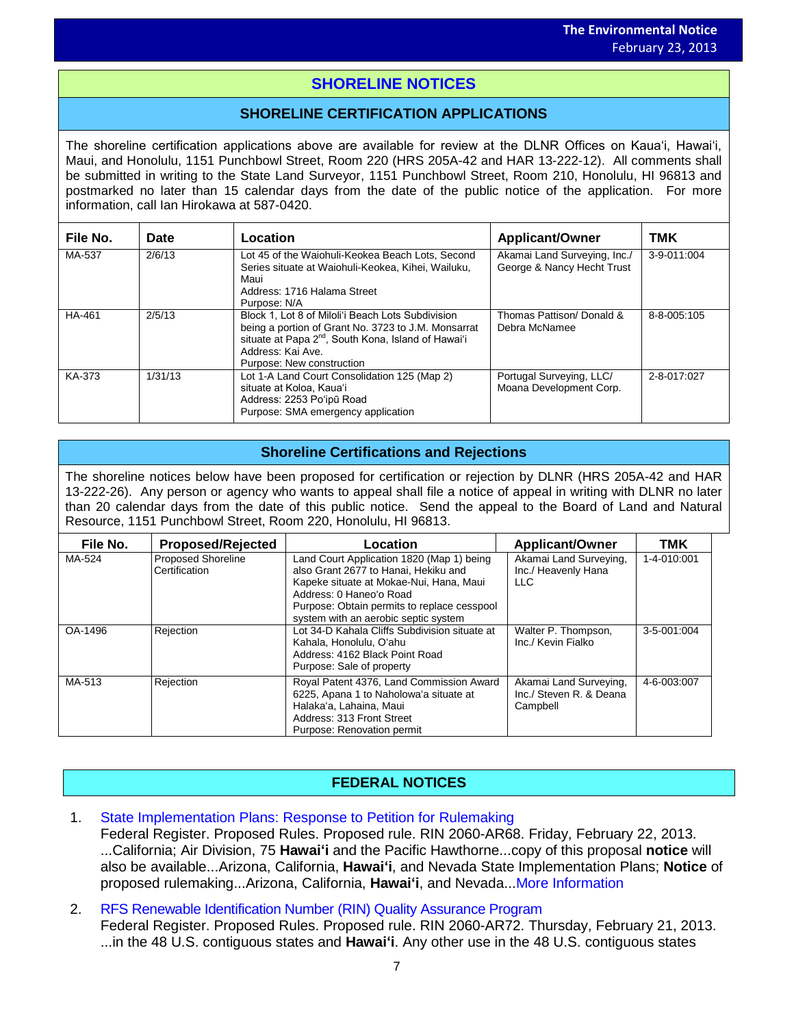# **SHORELINE NOTICES**

# **SHORELINE CERTIFICATION APPLICATIONS**

The shoreline certification applications above are available for review at the DLNR Offices on Kauaʻi, Hawaiʻi, Maui, and Honolulu, 1151 Punchbowl Street, Room 220 (HRS 205A-42 and HAR 13-222-12). All comments shall be submitted in writing to the State Land Surveyor, 1151 Punchbowl Street, Room 210, Honolulu, HI 96813 and postmarked no later than 15 calendar days from the date of the public notice of the application. For more information, call Ian Hirokawa at 587-0420.

| File No. | Date    | Location                                                                                                                                                                                                                      | <b>Applicant/Owner</b>                                     | TMK         |
|----------|---------|-------------------------------------------------------------------------------------------------------------------------------------------------------------------------------------------------------------------------------|------------------------------------------------------------|-------------|
| MA-537   | 2/6/13  | Lot 45 of the Waiohuli-Keokea Beach Lots, Second<br>Series situate at Waiohuli-Keokea, Kihei, Wailuku,<br>Maui<br>Address: 1716 Halama Street<br>Purpose: N/A                                                                 | Akamai Land Surveying, Inc./<br>George & Nancy Hecht Trust | 3-9-011:004 |
| HA-461   | 2/5/13  | Block 1, Lot 8 of Miloli'i Beach Lots Subdivision<br>being a portion of Grant No. 3723 to J.M. Monsarrat<br>situate at Papa 2 <sup>nd</sup> , South Kona, Island of Hawai'i<br>Address: Kai Ave.<br>Purpose: New construction | Thomas Pattison/ Donald &<br>Debra McNamee                 | 8-8-005:105 |
| KA-373   | 1/31/13 | Lot 1-A Land Court Consolidation 125 (Map 2)<br>situate at Koloa, Kaua'i<br>Address: 2253 Poʻipū Road<br>Purpose: SMA emergency application                                                                                   | Portugal Surveying, LLC/<br>Moana Development Corp.        | 2-8-017:027 |

# **Shoreline Certifications and Rejections**

The shoreline notices below have been proposed for certification or rejection by DLNR (HRS 205A-42 and HAR 13-222-26). Any person or agency who wants to appeal shall file a notice of appeal in writing with DLNR no later than 20 calendar days from the date of this public notice. Send the appeal to the Board of Land and Natural Resource, 1151 Punchbowl Street, Room 220, Honolulu, HI 96813.

| File No. | <b>Proposed/Rejected</b>            | Location                                                                                                                                                                                                                                       | <b>Applicant/Owner</b>                                        | TMK         |
|----------|-------------------------------------|------------------------------------------------------------------------------------------------------------------------------------------------------------------------------------------------------------------------------------------------|---------------------------------------------------------------|-------------|
| MA-524   | Proposed Shoreline<br>Certification | Land Court Application 1820 (Map 1) being<br>also Grant 2677 to Hanai. Hekiku and<br>Kapeke situate at Mokae-Nui, Hana, Maui<br>Address: 0 Haneo'o Road<br>Purpose: Obtain permits to replace cesspool<br>system with an aerobic septic system | Akamai Land Surveying,<br>Inc./ Heavenly Hana<br><b>LLC</b>   | 1-4-010:001 |
| OA-1496  | Rejection                           | Lot 34-D Kahala Cliffs Subdivision situate at<br>Kahala, Honolulu, O'ahu<br>Address: 4162 Black Point Road<br>Purpose: Sale of property                                                                                                        | Walter P. Thompson,<br>Inc./ Kevin Fialko                     | 3-5-001:004 |
| MA-513   | Rejection                           | Royal Patent 4376, Land Commission Award<br>6225, Apana 1 to Naholowa'a situate at<br>Halaka'a, Lahaina, Maui<br>Address: 313 Front Street<br>Purpose: Renovation permit                                                                       | Akamai Land Surveying,<br>Inc./ Steven R. & Deana<br>Campbell | 4-6-003:007 |

# **FEDERAL NOTICES**

1. [State Implementation Plans: Response to Petition for Rulemaking](http://www.gpo.gov/fdsys/pkg/FR-2013-02-22/pdf/2013-03734.pdf)

Federal Register. Proposed Rules. Proposed rule. RIN 2060-AR68. Friday, February 22, 2013. ...California; Air Division, 75 **Hawaiʻi** and the Pacific Hawthorne...copy of this proposal **notice** will also be available...Arizona, California, **Hawaiʻi**, and Nevada State Implementation Plans; **Notice** of proposed rulemaking...Arizona, California, **Hawaiʻi**, and Nevada..[.More Information](http://www.gpo.gov/fdsys/search/pagedetails.action?na=&se=&sm=&flr=&ercode=&dateBrowse=&govAuthBrowse=&collection=&historical=false&st=hawaii+notices&=collection%3Afr&psh=&sbh=&tfh=&originalSearch=&sb=dno&sb=dno&ps=50&ps=50&granuleId=2013-03734&packageId=FR-2013-02-22)

2. [RFS Renewable Identification Number \(RIN\) Quality Assurance Program](http://www.gpo.gov/fdsys/pkg/FR-2013-02-21/pdf/2013-03206.pdf) Federal Register. Proposed Rules. Proposed rule. RIN 2060-AR72. Thursday, February 21, 2013. ...in the 48 U.S. contiguous states and **Hawaiʻi**. Any other use in the 48 U.S. contiguous states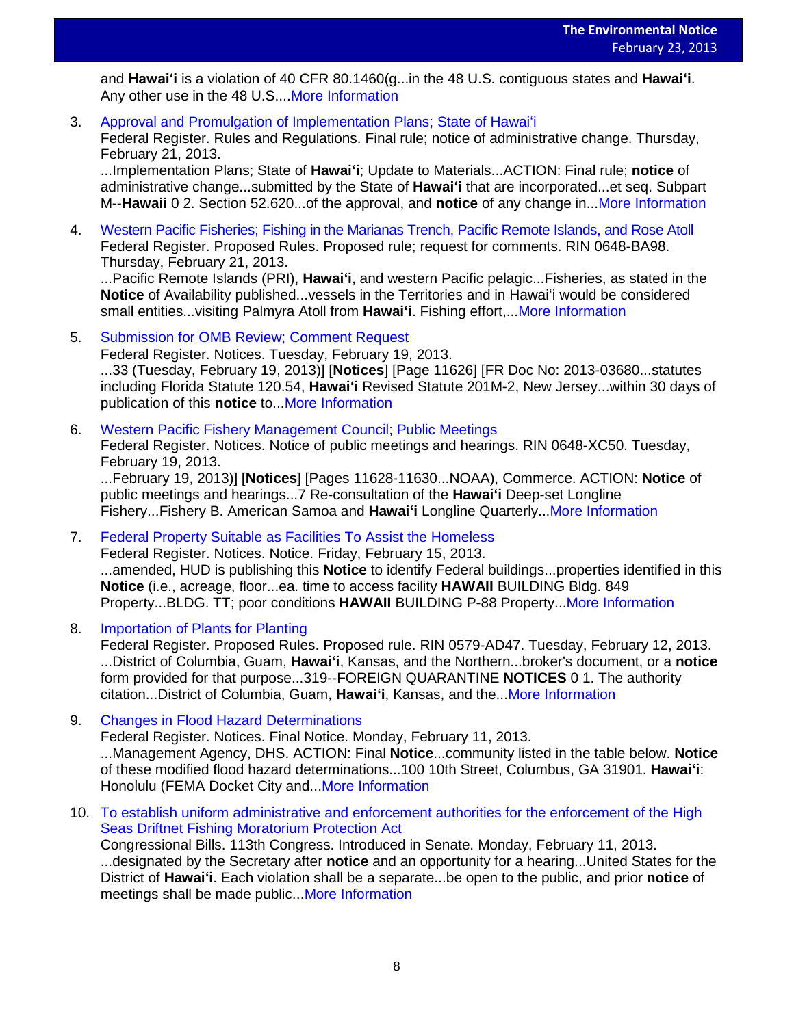and **Hawaiʻi** is a violation of 40 CFR 80.1460(g...in the 48 U.S. contiguous states and **Hawaiʻi**. Any other use in the 48 U.S...[.More Information](http://www.gpo.gov/fdsys/search/pagedetails.action?na=&se=&sm=&flr=&ercode=&dateBrowse=&govAuthBrowse=&collection=&historical=false&st=hawaii+notices&=collection%3Afr&psh=&sbh=&tfh=&originalSearch=&sb=dno&sb=dno&ps=50&ps=50&granuleId=2013-03206&packageId=FR-2013-02-21)

3. [Approval and Promulgation of Implementation Plans; State of Hawai](http://www.gpo.gov/fdsys/pkg/FR-2013-02-21/pdf/2013-03842.pdf)ʻi

Federal Register. Rules and Regulations. Final rule; notice of administrative change. Thursday, February 21, 2013.

...Implementation Plans; State of **Hawaiʻi**; Update to Materials...ACTION: Final rule; **notice** of administrative change...submitted by the State of **Hawaiʻi** that are incorporated...et seq. Subpart M--**Hawaii** 0 2. Section 52.620...of the approval, and **notice** of any change in..[.More Information](http://www.gpo.gov/fdsys/search/pagedetails.action?na=&se=&sm=&flr=&ercode=&dateBrowse=&govAuthBrowse=&collection=&historical=false&st=hawaii+notices&=collection%3Afr&psh=&sbh=&tfh=&originalSearch=&sb=dno&sb=dno&ps=50&ps=50&granuleId=2013-03842&packageId=FR-2013-02-21)

4. [Western Pacific Fisheries; Fishing in the Marianas Trench, Pacific Remote Islands, and Rose Atoll](http://www.gpo.gov/fdsys/pkg/FR-2013-02-21/pdf/2013-03873.pdf) Federal Register. Proposed Rules. Proposed rule; request for comments. RIN 0648-BA98. Thursday, February 21, 2013.

...Pacific Remote Islands (PRI), **Hawaiʻi**, and western Pacific pelagic...Fisheries, as stated in the **Notice** of Availability published...vessels in the Territories and in Hawaiʻi would be considered small entities...visiting Palmyra Atoll from **Hawaiʻi**. Fishing effort,..[.More Information](http://www.gpo.gov/fdsys/search/pagedetails.action?na=&se=&sm=&flr=&ercode=&dateBrowse=&govAuthBrowse=&collection=&historical=false&st=hawaii+notices&=collection%3Afr&psh=&sbh=&tfh=&originalSearch=&sb=dno&sb=dno&ps=50&ps=50&granuleId=2013-03873&packageId=FR-2013-02-21)

5. [Submission for OMB Review; Comment Request](http://www.gpo.gov/fdsys/pkg/FR-2013-02-19/pdf/2013-03680.pdf)

Federal Register. Notices. Tuesday, February 19, 2013.

...33 (Tuesday, February 19, 2013)] [**Notices**] [Page 11626] [FR Doc No: 2013-03680...statutes including Florida Statute 120.54, **Hawaiʻi** Revised Statute 201M-2, New Jersey...within 30 days of publication of this **notice** to..[.More Information](http://www.gpo.gov/fdsys/search/pagedetails.action?na=&se=&sm=&flr=&ercode=&dateBrowse=&govAuthBrowse=&collection=&historical=false&st=hawaii+notices&=collection%3Afr&psh=&sbh=&tfh=&originalSearch=&sb=dno&sb=dno&ps=50&ps=50&granuleId=2013-03680&packageId=FR-2013-02-19)

6. [Western Pacific Fishery Management Council; Public Meetings](http://www.gpo.gov/fdsys/pkg/FR-2013-02-19/pdf/2013-03665.pdf)

Federal Register. Notices. Notice of public meetings and hearings. RIN 0648-XC50. Tuesday, February 19, 2013.

...February 19, 2013)] [**Notices**] [Pages 11628-11630...NOAA), Commerce. ACTION: **Notice** of public meetings and hearings...7 Re-consultation of the **Hawaiʻi** Deep-set Longline Fishery...Fishery B. American Samoa and **Hawaiʻi** Longline Quarterly..[.More Information](http://www.gpo.gov/fdsys/search/pagedetails.action?na=&se=&sm=&flr=&ercode=&dateBrowse=&govAuthBrowse=&collection=&historical=false&st=hawaii+notices&=collection%3Afr&psh=&sbh=&tfh=&originalSearch=&sb=dno&sb=dno&ps=50&ps=50&granuleId=2013-03665&packageId=FR-2013-02-19)

7. [Federal Property Suitable as Facilities To Assist the Homeless](http://www.gpo.gov/fdsys/pkg/FR-2013-02-15/pdf/2013-02948.pdf)

Federal Register. Notices. Notice. Friday, February 15, 2013. ...amended, HUD is publishing this **Notice** to identify Federal buildings...properties identified in this **Notice** (i.e., acreage, floor...ea. time to access facility **HAWAII** BUILDING Bldg. 849 Property...BLDG. TT; poor conditions **HAWAII** BUILDING P-88 Property..[.More Information](http://www.gpo.gov/fdsys/search/pagedetails.action?na=&se=&sm=&flr=&ercode=&dateBrowse=&govAuthBrowse=&collection=&historical=false&st=hawaii+notices&=collection%3Afr&psh=&sbh=&tfh=&originalSearch=&sb=dno&sb=dno&ps=50&ps=50&granuleId=2013-02948&packageId=FR-2013-02-15)

8. [Importation of Plants for Planting](http://www.gpo.gov/fdsys/pkg/FR-2013-02-12/pdf/2013-03058.pdf)

Federal Register. Proposed Rules. Proposed rule. RIN 0579-AD47. Tuesday, February 12, 2013. ...District of Columbia, Guam, **Hawaiʻi**, Kansas, and the Northern...broker's document, or a **notice** form provided for that purpose...319--FOREIGN QUARANTINE **NOTICES** 0 1. The authority citation...District of Columbia, Guam, **Hawaiʻi**, Kansas, and the..[.More Information](http://www.gpo.gov/fdsys/search/pagedetails.action?na=&se=&sm=&flr=&ercode=&dateBrowse=&govAuthBrowse=&collection=&historical=false&st=hawaii+notices&=collection%3Afr&psh=&sbh=&tfh=&originalSearch=&sb=dno&sb=dno&ps=50&ps=50&granuleId=2013-03058&packageId=FR-2013-02-12)

- 9. [Changes in Flood Hazard Determinations](http://www.gpo.gov/fdsys/pkg/FR-2013-02-11/pdf/2013-03004.pdf) Federal Register. Notices. Final Notice. Monday, February 11, 2013. ...Management Agency, DHS. ACTION: Final **Notice**...community listed in the table below. **Notice** of these modified flood hazard determinations...100 10th Street, Columbus, GA 31901. **Hawaiʻi**: Honolulu (FEMA Docket City and..[.More Information](http://www.gpo.gov/fdsys/search/pagedetails.action?na=&se=&sm=&flr=&ercode=&dateBrowse=&govAuthBrowse=&collection=&historical=false&st=hawaii+notices&=collection%3Afr&psh=&sbh=&tfh=&originalSearch=&sb=dno&sb=dno&ps=50&ps=50&granuleId=2013-03004&packageId=FR-2013-02-11)
- 10. [To establish uniform administrative and enforcement authorities for the enforcement of the High](http://www.gpo.gov/fdsys/pkg/BILLS-113s269is/pdf/BILLS-113s269is.pdf) [Seas Driftnet Fishing Moratorium Protection](http://www.gpo.gov/fdsys/pkg/BILLS-113s269is/pdf/BILLS-113s269is.pdf) Act Congressional Bills. 113th Congress. Introduced in Senate. Monday, February 11, 2013. ...designated by the Secretary after **notice** and an opportunity for a hearing...United States for the District of **Hawaiʻi**. Each violation shall be a separate...be open to the public, and prior **notice** of meetings shall be made public..[.More Information](http://www.gpo.gov/fdsys/search/pagedetails.action?na=&se=&sm=&flr=&ercode=&dateBrowse=&govAuthBrowse=&collection=&historical=false&st=hawaii+notices&=collection%3Afr&psh=&sbh=&tfh=&originalSearch=&sb=dno&sb=dno&ps=50&ps=50&granuleId=&packageId=BILLS-113s269is)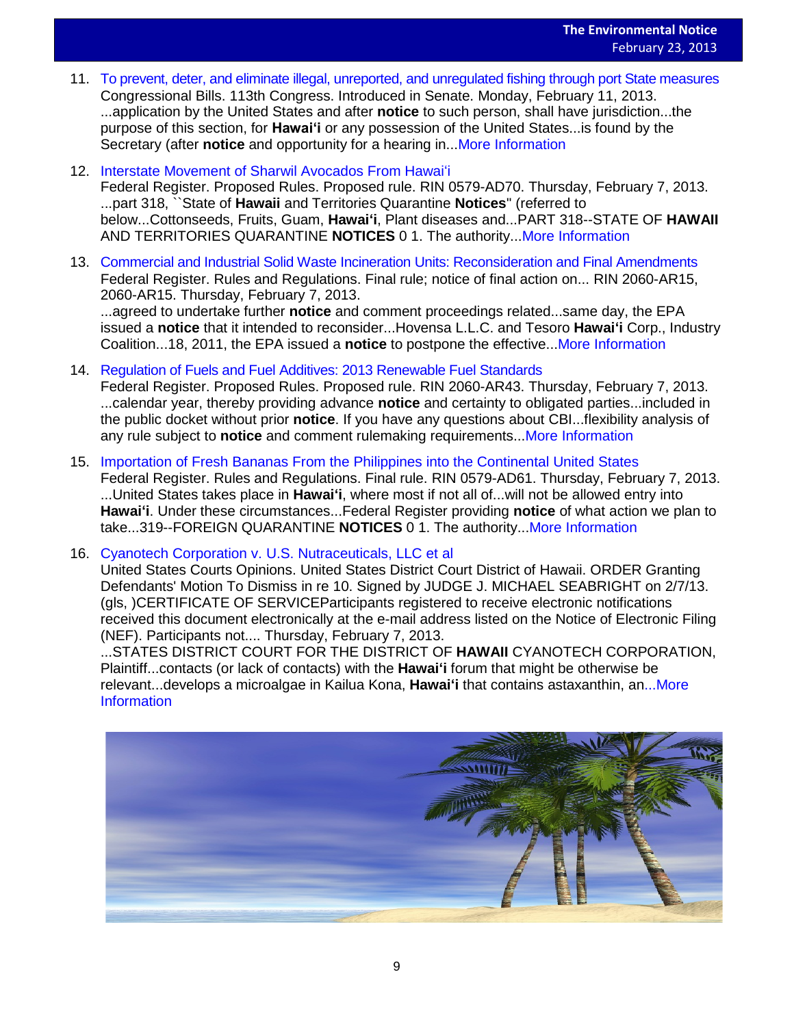- 11. [To prevent, deter, and eliminate illegal, unreported, and unregulated fishing through port State](http://www.gpo.gov/fdsys/pkg/BILLS-113s267is/pdf/BILLS-113s267is.pdf) measures Congressional Bills. 113th Congress. Introduced in Senate. Monday, February 11, 2013. ...application by the United States and after **notice** to such person, shall have jurisdiction...the purpose of this section, for **Hawaiʻi** or any possession of the United States...is found by the Secretary (after **notice** and opportunity for a hearing in..[.More Information](http://www.gpo.gov/fdsys/search/pagedetails.action?na=&se=&sm=&flr=&ercode=&dateBrowse=&govAuthBrowse=&collection=&historical=false&st=hawaii+notices&=collection%3Afr&psh=&sbh=&tfh=&originalSearch=&sb=dno&sb=dno&ps=50&ps=50&granuleId=&packageId=BILLS-113s267is)
- 12. [Interstate Movement of Sharwil Avocados From Hawai](http://www.gpo.gov/fdsys/pkg/FR-2013-02-07/pdf/2013-02781.pdf)ʻi

Federal Register. Proposed Rules. Proposed rule. RIN 0579-AD70. Thursday, February 7, 2013. ...part 318, ``State of **Hawaii** and Territories Quarantine **Notices**'' (referred to below...Cottonseeds, Fruits, Guam, **Hawaiʻi**, Plant diseases and...PART 318--STATE OF **HAWAII** AND TERRITORIES QUARANTINE **NOTICES** 0 1. The authority..[.More Information](http://www.gpo.gov/fdsys/search/pagedetails.action?na=&se=&sm=&flr=&ercode=&dateBrowse=&govAuthBrowse=&collection=&historical=false&st=hawaii+notices&=collection%3Afr&psh=&sbh=&tfh=&originalSearch=&sb=dno&sb=dno&ps=50&ps=50&granuleId=2013-02781&packageId=FR-2013-02-07)

13. [Commercial and Industrial Solid Waste Incineration Units: Reconsideration and Final Amendments](http://www.gpo.gov/fdsys/pkg/FR-2013-02-07/pdf/2012-31632.pdf) Federal Register. Rules and Regulations. Final rule; notice of final action on... RIN 2060-AR15, 2060-AR15. Thursday, February 7, 2013.

...agreed to undertake further **notice** and comment proceedings related...same day, the EPA issued a **notice** that it intended to reconsider...Hovensa L.L.C. and Tesoro **Hawaiʻi** Corp., Industry Coalition...18, 2011, the EPA issued a **notice** to postpone the effective..[.More Information](http://www.gpo.gov/fdsys/search/pagedetails.action?na=&se=&sm=&flr=&ercode=&dateBrowse=&govAuthBrowse=&collection=&historical=false&st=hawaii+notices&=collection%3Afr&psh=&sbh=&tfh=&originalSearch=&sb=dno&sb=dno&ps=50&ps=50&granuleId=2012-31632&packageId=FR-2013-02-07)

- 14. [Regulation of Fuels and Fuel Additives: 2013 Renewable Fuel Standards](http://www.gpo.gov/fdsys/pkg/FR-2013-02-07/pdf/2013-02794.pdf) Federal Register. Proposed Rules. Proposed rule. RIN 2060-AR43. Thursday, February 7, 2013. ...calendar year, thereby providing advance **notice** and certainty to obligated parties...included in the public docket without prior **notice**. If you have any questions about CBI...flexibility analysis of any rule subject to **notice** and comment rulemaking requirements..[.More Information](http://www.gpo.gov/fdsys/search/pagedetails.action?na=&se=&sm=&flr=&ercode=&dateBrowse=&govAuthBrowse=&collection=&historical=false&st=hawaii+notices&=collection%3Afr&psh=&sbh=&tfh=&originalSearch=&sb=dno&sb=dno&ps=50&ps=50&granuleId=2013-02794&packageId=FR-2013-02-07)
- 15. [Importation of Fresh Bananas From the Philippines into the Continental United States](http://www.gpo.gov/fdsys/pkg/FR-2013-02-07/pdf/2013-02775.pdf) Federal Register. Rules and Regulations. Final rule. RIN 0579-AD61. Thursday, February 7, 2013. ...United States takes place in **Hawaiʻi**, where most if not all of...will not be allowed entry into **Hawaiʻi**. Under these circumstances...Federal Register providing **notice** of what action we plan to take...319--FOREIGN QUARANTINE **NOTICES** 0 1. The authority..[.More Information](http://www.gpo.gov/fdsys/search/pagedetails.action?na=&se=&sm=&flr=&ercode=&dateBrowse=&govAuthBrowse=&collection=&historical=false&st=hawaii+notices&=collection%3Afr&psh=&sbh=&tfh=&originalSearch=&sb=dno&sb=dno&ps=50&ps=50&granuleId=2013-02775&packageId=FR-2013-02-07)

16. [Cyanotech Corporation v. U.S. Nutraceuticals, LLC et al](http://www.gpo.gov/fdsys/pkg/USCOURTS-hid-1_12-cv-00352/pdf/USCOURTS-hid-1_12-cv-00352-0.pdf)

United States Courts Opinions. United States District Court District of Hawaii. ORDER Granting Defendants' Motion To Dismiss in re 10. Signed by JUDGE J. MICHAEL SEABRIGHT on 2/7/13. (gls, )CERTIFICATE OF SERVICEParticipants registered to receive electronic notifications received this document electronically at the e-mail address listed on the Notice of Electronic Filing (NEF). Participants not.... Thursday, February 7, 2013.

...STATES DISTRICT COURT FOR THE DISTRICT OF **HAWAII** CYANOTECH CORPORATION, Plaintiff...contacts (or lack of contacts) with the **Hawaiʻi** forum that might be otherwise be relevant...develops a microalgae in Kailua Kona, **Hawaiʻi** that contains astaxanthin, an..[.More](http://www.gpo.gov/fdsys/search/pagedetails.action?na=&se=&sm=&flr=&ercode=&dateBrowse=&govAuthBrowse=&collection=&historical=false&st=hawaii+notices&=collection%3Afr&psh=&sbh=&tfh=&originalSearch=&sb=dno&sb=dno&ps=50&ps=50&granuleId=USCOURTS-hid-1_12-cv-00352-0&packageId=USCOURTS-hid-1_12-cv-00352)  [Information](http://www.gpo.gov/fdsys/search/pagedetails.action?na=&se=&sm=&flr=&ercode=&dateBrowse=&govAuthBrowse=&collection=&historical=false&st=hawaii+notices&=collection%3Afr&psh=&sbh=&tfh=&originalSearch=&sb=dno&sb=dno&ps=50&ps=50&granuleId=USCOURTS-hid-1_12-cv-00352-0&packageId=USCOURTS-hid-1_12-cv-00352)